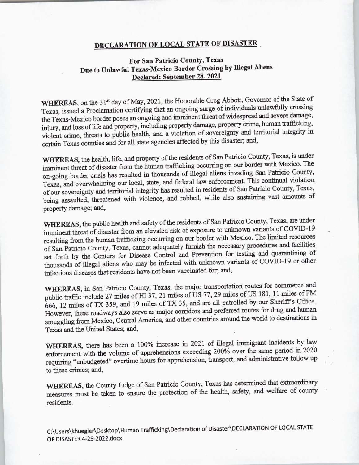## DECLARATION OF LOCAL STATE OF DISASTER

## For San Patricia County, Texas Due to Unlawful Texas-Mexico Border Crossing by Illegal Aliens Declared: September 28, 2021

WHEREAS, on the 31<sup>st</sup> day of May, 2021, the Honorable Greg Abbott, Governor of the State of Texas, issued <sup>a</sup> Proclamation certifying that an ongoing surge of individuals unlawfully crossing the Texas-Mexico border poses an ongoing and imminent threat of widespread and severe damage, injury, and loss of life and property, including property damage, property crime, human trafficking, injury, and loss of life and property, including property damage, property crime, human traffic in violent crime, threats to public health, and <sup>a</sup> violation of sovereignty and territorial integrity in certain Texas counties and for all state agencies affected by this disaster; and,

WHEREAS, the health, life, and property of the residents of San Patricio County, Texas, is under imminent threat of disaster from the human trafficking occurring on our border with Mexico. The on-going border crisis has resulted in thousands of illegal aliens invading San Patricio County, Texas, and overwhelming our local, state, and federal law enforcement. This continual violation of our sovereignty and territorial integrity has resulted in residents of San Patricio County, Texas, being assaulted, threatened with violence, and robbed, while also sustaining vast amounts of property damage; and,

WHEREAS, the public health and safety of the residents of San Patricio County, Texas, are under imminent threat of disaster from an elevated risk of exposure to unknown variants of COVID-19 resulting from the human trafficking occurring on our border with Mexico. The limited resources resulting from the human trafficking occurring on our border with Mexico. The limited resources of San Patricio County, Texas, cannot adequately furnish the necessary procedures and facilities set forth by the Centers for Disease Control and Prevention for testing and quarantining of thousands of illegal aliens who may be infected with unknown variants of COVID- 19 or other infectious diseases that residents have not been vaccinated for; and,

WHEREAS, in San Patricio County, Texas, the major transportation routes for commerce and public traffic include 27 miles of HI 37, 21 miles of US 77, 29 miles of US 181, 11 miles of FM 666, 12 miles of TX 359, and 19 miles of TX 35, and are all patrolled by our Sheriff's Office. However, these roadways also serve as major corridors and preferred routes for drug and human smuggling from Mexico, Central America, and other countries around the world to destinations in Texas and the United States; and,

WHEREAS, there has been a 100% increase in 2021 of illegal immigrant incidents by law enforcement with the volume of apprehensions exceeding 200% over the same period in 2020 requiring "unbudgeted" overtime hours for apprehension, transport, and administrative follow up to these crimes; and,

WHEREAS, the County Judge of San Patricio County, Texas has determined that extraordinary measures must be taken to ensure the protection of the health, safety, and welfare of county residents.

C:\ Users\ khuegler\ Desktop\ Human Trafficking\ Declaration of Disaster\ DECLARATION OF LOCAL STATE OF DISASTER 4-25-2022.docx